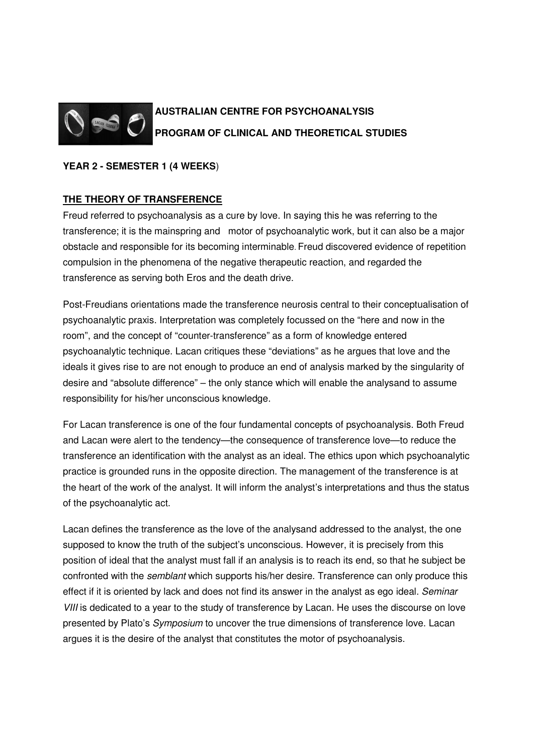

# **AUSTRALIAN CENTRE FOR PSYCHOANALYSIS PROGRAM OF CLINICAL AND THEORETICAL STUDIES**

## **YEAR 2 - SEMESTER 1 (4 WEEKS**)

# **THE THEORY OF TRANSFERENCE**

Freud referred to psychoanalysis as a cure by love. In saying this he was referring to the transference; it is the mainspring and motor of psychoanalytic work, but it can also be a major obstacle and responsible for its becoming interminable. Freud discovered evidence of repetition compulsion in the phenomena of the negative therapeutic reaction, and regarded the transference as serving both Eros and the death drive.

Post-Freudians orientations made the transference neurosis central to their conceptualisation of psychoanalytic praxis. Interpretation was completely focussed on the "here and now in the room", and the concept of "counter-transference" as a form of knowledge entered psychoanalytic technique. Lacan critiques these "deviations" as he argues that love and the ideals it gives rise to are not enough to produce an end of analysis marked by the singularity of desire and "absolute difference" – the only stance which will enable the analysand to assume responsibility for his/her unconscious knowledge.

For Lacan transference is one of the four fundamental concepts of psychoanalysis. Both Freud and Lacan were alert to the tendency—the consequence of transference love—to reduce the transference an identification with the analyst as an ideal. The ethics upon which psychoanalytic practice is grounded runs in the opposite direction. The management of the transference is at the heart of the work of the analyst. It will inform the analyst's interpretations and thus the status of the psychoanalytic act.

Lacan defines the transference as the love of the analysand addressed to the analyst, the one supposed to know the truth of the subject's unconscious. However, it is precisely from this position of ideal that the analyst must fall if an analysis is to reach its end, so that he subject be confronted with the semblant which supports his/her desire. Transference can only produce this effect if it is oriented by lack and does not find its answer in the analyst as ego ideal. Seminar VIII is dedicated to a year to the study of transference by Lacan. He uses the discourse on love presented by Plato's Symposium to uncover the true dimensions of transference love. Lacan argues it is the desire of the analyst that constitutes the motor of psychoanalysis.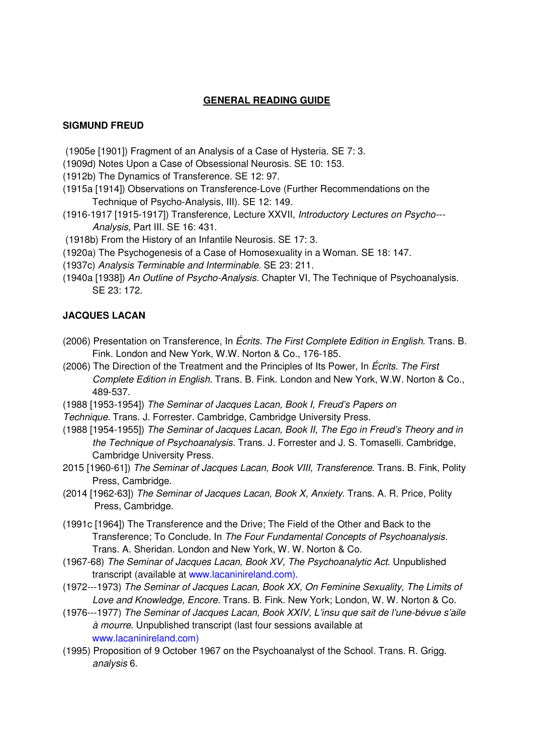### **GENERAL READING GUIDE**

#### **SIGMUND FREUD**

- (1905e [1901]) Fragment of an Analysis of a Case of Hysteria. SE 7: 3.
- (1909d) Notes Upon a Case of Obsessional Neurosis. SE 10: 153.
- (1912b) The Dynamics of Transference. SE 12: 97.
- (1915a [1914]) Observations on Transference-Love (Further Recommendations on the Technique of Psycho-Analysis, III). SE 12: 149.
- (1916-1917 [1915-1917]) Transference, Lecture XXVII, Introductory Lectures on Psycho--- Analysis, Part III. SE 16: 431.
- (1918b) From the History of an Infantile Neurosis. SE 17: 3.
- (1920a) The Psychogenesis of a Case of Homosexuality in a Woman. SE 18: 147.
- (1937c) Analysis Terminable and Interminable. SE 23: 211.
- (1940a [1938]) An Outline of Psycho-Analysis. Chapter VI, The Technique of Psychoanalysis. SE 23: 172.

#### **JACQUES LACAN**

- (2006) Presentation on Transference, In Écrits. The First Complete Edition in English. Trans. B. Fink. London and New York, W.W. Norton & Co., 176-185.
- (2006) The Direction of the Treatment and the Principles of Its Power, In *Écrits. The First* Complete Edition in English. Trans. B. Fink. London and New York, W.W. Norton & Co., 489-537.
- (1988 [1953-1954]) The Seminar of Jacques Lacan, Book I, Freud's Papers on
- Technique. Trans. J. Forrester. Cambridge, Cambridge University Press.
- (1988 [1954-1955]) The Seminar of Jacques Lacan, Book II, The Ego in Freud's Theory and in the Technique of Psychoanalysis. Trans. J. Forrester and J. S. Tomaselli. Cambridge, Cambridge University Press.
- 2015 [1960-61]) The Seminar of Jacques Lacan, Book VIII, Transference. Trans. B. Fink, Polity Press, Cambridge.
- (2014 [1962-63]) The Seminar of Jacques Lacan, Book X, Anxiety. Trans. A. R. Price, Polity Press, Cambridge.
- (1991c [1964]) The Transference and the Drive; The Field of the Other and Back to the Transference; To Conclude. In The Four Fundamental Concepts of Psychoanalysis. Trans. A. Sheridan. London and New York, W. W. Norton & Co.
- (1967-68) The Seminar of Jacques Lacan, Book XV, The Psychoanalytic Act. Unpublished transcript (available at www.lacaninireland.com).
- (1972---1973) The Seminar of Jacques Lacan, Book XX, On Feminine Sexuality, The Limits of Love and Knowledge, Encore. Trans. B. Fink. New York; London, W. W. Norton & Co.
- (1976---1977) The Seminar of Jacques Lacan, Book XXIV, L'insu que sait de l'une-bévue s'aile à mourre. Unpublished transcript (last four sessions available at www.lacaninireland.com)
- (1995) Proposition of 9 October 1967 on the Psychoanalyst of the School. Trans. R. Grigg. analysis 6.